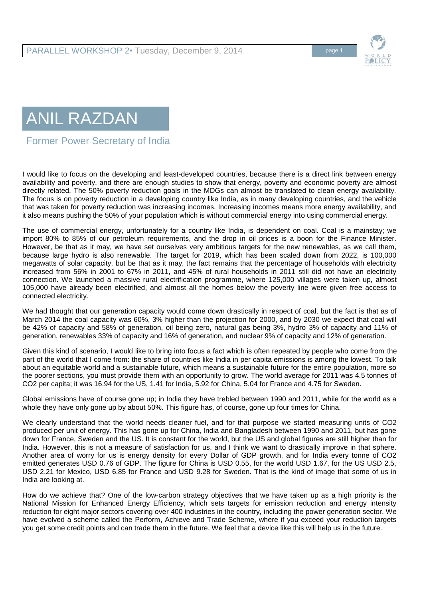

## ANIL RAZDAN

Former Power Secretary of India

I would like to focus on the developing and least-developed countries, because there is a direct link between energy availability and poverty, and there are enough studies to show that energy, poverty and economic poverty are almost directly related. The 50% poverty reduction goals in the MDGs can almost be translated to clean energy availability. The focus is on poverty reduction in a developing country like India, as in many developing countries, and the vehicle that was taken for poverty reduction was increasing incomes. Increasing incomes means more energy availability, and it also means pushing the 50% of your population which is without commercial energy into using commercial energy.

The use of commercial energy, unfortunately for a country like India, is dependent on coal. Coal is a mainstay; we import 80% to 85% of our petroleum requirements, and the drop in oil prices is a boon for the Finance Minister. However, be that as it may, we have set ourselves very ambitious targets for the new renewables, as we call them, because large hydro is also renewable. The target for 2019, which has been scaled down from 2022, is 100,000 megawatts of solar capacity, but be that as it may, the fact remains that the percentage of households with electricity increased from 56% in 2001 to 67% in 2011, and 45% of rural households in 2011 still did not have an electricity connection. We launched a massive rural electrification programme, where 125,000 villages were taken up, almost 105,000 have already been electrified, and almost all the homes below the poverty line were given free access to connected electricity.

We had thought that our generation capacity would come down drastically in respect of coal, but the fact is that as of March 2014 the coal capacity was 60%, 3% higher than the projection for 2000, and by 2030 we expect that coal will be 42% of capacity and 58% of generation, oil being zero, natural gas being 3%, hydro 3% of capacity and 11% of generation, renewables 33% of capacity and 16% of generation, and nuclear 9% of capacity and 12% of generation.

Given this kind of scenario, I would like to bring into focus a fact which is often repeated by people who come from the part of the world that I come from: the share of countries like India in per capita emissions is among the lowest. To talk about an equitable world and a sustainable future, which means a sustainable future for the entire population, more so the poorer sections, you must provide them with an opportunity to grow. The world average for 2011 was 4.5 tonnes of CO2 per capita; it was 16.94 for the US, 1.41 for India, 5.92 for China, 5.04 for France and 4.75 for Sweden.

Global emissions have of course gone up; in India they have trebled between 1990 and 2011, while for the world as a whole they have only gone up by about 50%. This figure has, of course, gone up four times for China.

We clearly understand that the world needs cleaner fuel, and for that purpose we started measuring units of CO2 produced per unit of energy. This has gone up for China, India and Bangladesh between 1990 and 2011, but has gone down for France, Sweden and the US. It is constant for the world, but the US and global figures are still higher than for India. However, this is not a measure of satisfaction for us, and I think we want to drastically improve in that sphere. Another area of worry for us is energy density for every Dollar of GDP growth, and for India every tonne of CO2 emitted generates USD 0.76 of GDP. The figure for China is USD 0.55, for the world USD 1.67, for the US USD 2.5, USD 2.21 for Mexico, USD 6.85 for France and USD 9.28 for Sweden. That is the kind of image that some of us in India are looking at.

How do we achieve that? One of the low-carbon strategy objectives that we have taken up as a high priority is the National Mission for Enhanced Energy Efficiency, which sets targets for emission reduction and energy intensity reduction for eight major sectors covering over 400 industries in the country, including the power generation sector. We have evolved a scheme called the Perform, Achieve and Trade Scheme, where if you exceed your reduction targets you get some credit points and can trade them in the future. We feel that a device like this will help us in the future.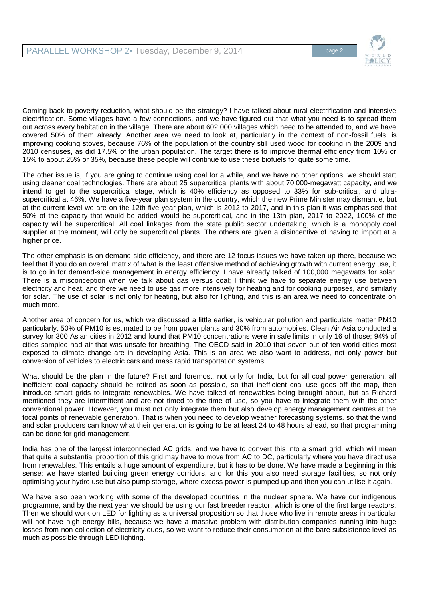

Coming back to poverty reduction, what should be the strategy? I have talked about rural electrification and intensive electrification. Some villages have a few connections, and we have figured out that what you need is to spread them out across every habitation in the village. There are about 602,000 villages which need to be attended to, and we have covered 50% of them already. Another area we need to look at, particularly in the context of non-fossil fuels, is improving cooking stoves, because 76% of the population of the country still used wood for cooking in the 2009 and 2010 censuses, as did 17.5% of the urban population. The target there is to improve thermal efficiency from 10% or 15% to about 25% or 35%, because these people will continue to use these biofuels for quite some time.

The other issue is, if you are going to continue using coal for a while, and we have no other options, we should start using cleaner coal technologies. There are about 25 supercritical plants with about 70,000-megawatt capacity, and we intend to get to the supercritical stage, which is 40% efficiency as opposed to 33% for sub-critical, and ultrasupercritical at 46%. We have a five-year plan system in the country, which the new Prime Minister may dismantle, but at the current level we are on the 12th five-year plan, which is 2012 to 2017, and in this plan it was emphasised that 50% of the capacity that would be added would be supercritical, and in the 13th plan, 2017 to 2022, 100% of the capacity will be supercritical. All coal linkages from the state public sector undertaking, which is a monopoly coal supplier at the moment, will only be supercritical plants. The others are given a disincentive of having to import at a higher price.

The other emphasis is on demand-side efficiency, and there are 12 focus issues we have taken up there, because we feel that if you do an overall matrix of what is the least offensive method of achieving growth with current energy use, it is to go in for demand-side management in energy efficiency. I have already talked of 100,000 megawatts for solar. There is a misconception when we talk about gas versus coal; I think we have to separate energy use between electricity and heat, and there we need to use gas more intensively for heating and for cooking purposes, and similarly for solar. The use of solar is not only for heating, but also for lighting, and this is an area we need to concentrate on much more.

Another area of concern for us, which we discussed a little earlier, is vehicular pollution and particulate matter PM10 particularly. 50% of PM10 is estimated to be from power plants and 30% from automobiles. Clean Air Asia conducted a survey for 300 Asian cities in 2012 and found that PM10 concentrations were in safe limits in only 16 of those; 94% of cities sampled had air that was unsafe for breathing. The OECD said in 2010 that seven out of ten world cities most exposed to climate change are in developing Asia. This is an area we also want to address, not only power but conversion of vehicles to electric cars and mass rapid transportation systems.

What should be the plan in the future? First and foremost, not only for India, but for all coal power generation, all inefficient coal capacity should be retired as soon as possible, so that inefficient coal use goes off the map, then introduce smart grids to integrate renewables. We have talked of renewables being brought about, but as Richard mentioned they are intermittent and are not timed to the time of use, so you have to integrate them with the other conventional power. However, you must not only integrate them but also develop energy management centres at the focal points of renewable generation. That is when you need to develop weather forecasting systems, so that the wind and solar producers can know what their generation is going to be at least 24 to 48 hours ahead, so that programming can be done for grid management.

India has one of the largest interconnected AC grids, and we have to convert this into a smart grid, which will mean that quite a substantial proportion of this grid may have to move from AC to DC, particularly where you have direct use from renewables. This entails a huge amount of expenditure, but it has to be done. We have made a beginning in this sense: we have started building green energy corridors, and for this you also need storage facilities, so not only optimising your hydro use but also pump storage, where excess power is pumped up and then you can utilise it again.

We have also been working with some of the developed countries in the nuclear sphere. We have our indigenous programme, and by the next year we should be using our fast breeder reactor, which is one of the first large reactors. Then we should work on LED for lighting as a universal proposition so that those who live in remote areas in particular will not have high energy bills, because we have a massive problem with distribution companies running into huge losses from non collection of electricity dues, so we want to reduce their consumption at the bare subsistence level as much as possible through LED lighting.